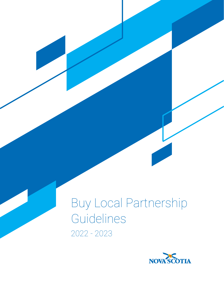Buy Local Partnership Guidelines 2022 - 2023

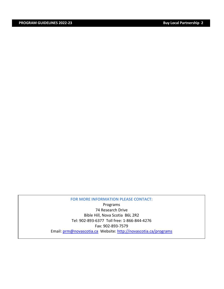#### **FOR MORE INFORMATION PLEASE CONTACT:**

Programs 74 Research Drive Bible Hill, Nova Scotia B6L 2R2 Tel: 902-893-6377 Toll free: 1-866-844-4276 Fax: 902-893-7579 Email: [prm@novascotia.ca](mailto:prm@novascotia.ca) Website: http://novascotia.ca/programs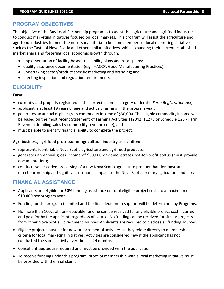# **PROGRAM OBJECTIVES**

The objective of the Buy Local Partnership program is to assist the agriculture and agri-food industries to conduct marketing initiatives focused on local markets. This program will assist the agriculture and agri-food industries to meet the necessary criteria to become members of local marketing initiatives such as the Taste of Nova Scotia and other similar initiatives, while expanding their current established market share and fostering local economic growth through:

- Implementation of facility-based traceability plans and recall plans;
- quality assurance documentation (e.g., HACCP, Good Manufacturing Practices);
- undertaking sector/product specific marketing and branding; and
- meeting inspection and regulation requirements

## **ELIGIBILITY**

#### **Farm:**

- currently and properly registered in the correct income category under the *Farm Registration Act;*
- applicant is at least 19 years of age and actively farming in the program year;
- generates an annual eligible gross commodity income of \$30,000. The eligible commodity income will be based on the most recent Statement of Farming Activities (T2042, T1273 or Schedule 125 - Farm Revenue: detailing sales by commodity revenue code); and
- must be able to identify financial ability to complete the project.

#### **Agri-business, agri-food processor or agricultural industry association:**

- represents identifiable Nova Scotia agriculture and agri-food products;
- generates an annual gross income of \$30,000 or demonstrates not-for-profit status (must provide documentation);
- conducts value-added processing of a raw Nova Scotia agriculture product that demonstrates a direct partnership and significant economic impact to the Nova Scotia primary agricultural industry.

## **FINANCIAL ASSISTANCE**

- Applicants are eligible for **50%** funding assistance on total eligible project costs to a maximum of **\$10,000** per program year.
- Funding for the program is limited and the final decision to support will be determined by Programs.
- No more than 100% of non-repayable funding can be received for any eligible project cost incurred and paid for by the applicant, regardless of source. No funding can be received for similar projects from other Nova Scotia Government sources. Applicants are required to disclose all funding sources.
- Eligible projects must be for new or incremental activities as they relate directly to membership criteria for local marketing initiatives. Activities are considered new if the applicant has not conducted the same activity over the last 24 months.
- Consultant quotes are required and must be provided with the application.
- To receive funding under this program, proof of membership with a local marketing initiative must be provided with the final claim.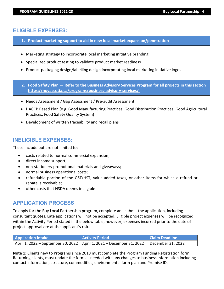## **ELIGIBLE EXPENSES:**

- **1. Product marketing support to aid in new local market expansion/penetration**
- Marketing strategy to incorporate local marketing initiative branding
- Specialized product testing to validate product market readiness
- Product packaging design/labelling design incorporating local marketing initiative logos
- **2. Food Safety Plan Refer to the Business Advisory Services Program for all projects in this section <https://novascotia.ca/programs/business-advisory-services/>**
- Needs Assessment / Gap Assessment / Pre-audit Assessment
- HACCP Based Plan (e.g. Good Manufacturing Practices, Good Distribution Practices, Good Agricultural Practices, Food Safety Quality System)
- Development of written traceability and recall plans

## **INELIGIBLE EXPENSES:**

These include but are not limited to:

- costs related to normal commercial expansion;
- direct income support;
- non-stationery promotional materials and giveaways;
- normal business operational costs;
- refundable portion of the GST/HST, value-added taxes, or other items for which a refund or rebate is receivable;
- other costs that NSDA deems ineligible.

### **APPLICATION PROCESS**

To apply for the Buy Local Partnership program, complete and submit the application, including consultant quotes. Late applications will not be accepted. Eligible project expenses will be recognized within the Activity Period stated in the below table, however, expenses incurred prior to the date of project approval are at the applicant's risk.

| <b>Application Intake</b>                                                                  | <b>Activity Period</b> | <b>Claim Deadline</b> |
|--------------------------------------------------------------------------------------------|------------------------|-----------------------|
| April 1, 2022 – September 30, 2022   April 1, 2021 – December 31, 2022   December 31, 2022 |                        |                       |

**Note 1:** Clients new to Programs since 2018 must complete the Program Funding Registration form. Returning clients, must update the form as needed with any changes to business information including contact information, structure, commodities, environmental farm plan and Premise ID.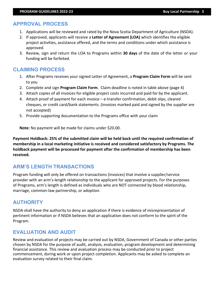## **APPROVAL PROCESS**

- 1. Applications will be reviewed and rated by the Nova Scotia Department of Agriculture (NSDA).
- 2. If approved, applicants will receive a **Letter of Agreement (LOA)** which identifies the eligible project activities, assistance offered, and the terms and conditions under which assistance is approved.
- 3. Review, sign and return the LOA to Programs within **30 days** of the date of the letter or your funding will be forfeited.

## **CLAIMING PROCESS**

- 1. After Programs receives your signed Letter of Agreement, a **Program Claim Form** will be sent to you
- 2. Complete and sign **Program Claim Form**. Claim deadline is noted in table above (page 4)
- 3. Attach copies of all invoices for eligible project costs incurred and paid for by the applicant.
- 4. Attach proof of payment for each invoice e-transfer confirmation, debit slips, cleared cheques, or credit card/bank statements. (invoices marked paid and signed by the supplier are not accepted)
- 5. Provide supporting documentation to the Programs office with your claim

**Note:** No payment will be made for claims under \$20.00.

**Payment Holdback: 25% of the submitted claim will be held back until the required confirmation of membership in a local marketing initiative is received and considered satisfactory by Programs. The holdback payment will be processed for payment after the confirmation of membership has been received.**

# **ARM'S LENGTH TRANSACTIONS**

Program funding will only be offered on transactions (invoices) that involve a supplier/service provider with an arm's-length relationship to the applicant for approved projects. For the purposes of Programs, arm's length is defined as individuals who are NOT connected by blood relationship, marriage, common-law partnership, or adoption.

## **AUTHORITY**

NSDA shall have the authority to deny an application if there is evidence of misrepresentation of pertinent information or if NSDA believes that an application does not conform to the spirit of the Program.

## **EVALUATION AND AUDIT**

Review and evaluation of projects may be carried out by NSDA, Government of Canada or other parties chosen by NSDA for the purpose of audit, analysis, evaluation, program development and determining financial assistance. This review and evaluation process may be conducted prior to project commencement, during work or upon project completion. Applicants may be asked to complete an evaluation survey related to their final claim.